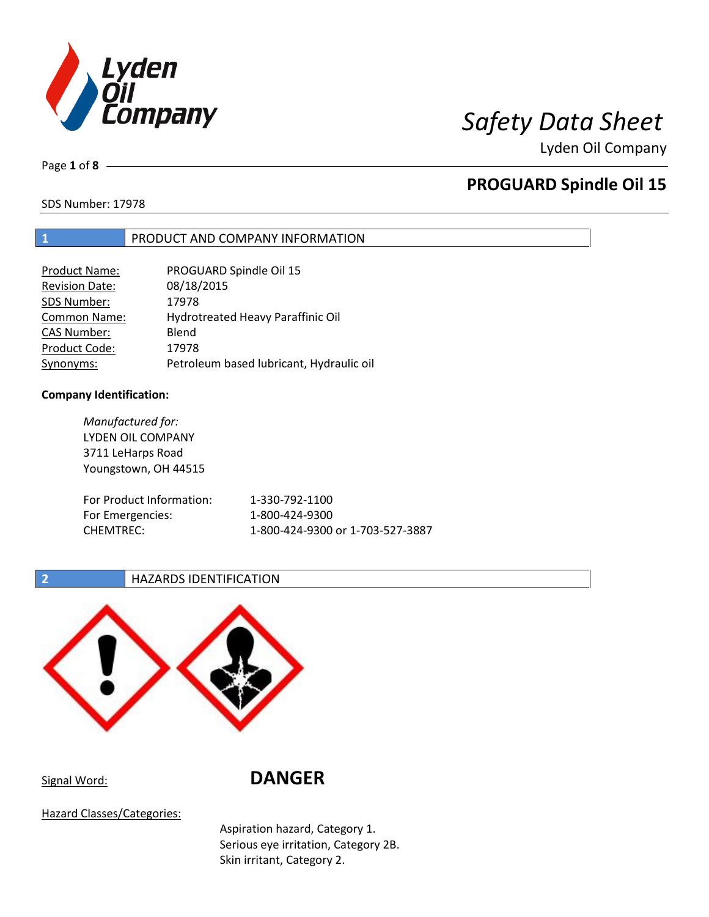

Page **1** of **8**

## **PROGUARD Spindle Oil 15**

SDS Number: 17978

## **1** PRODUCT AND COMPANY INFORMATION

| <b>Product Name:</b>  | PROGUARD Spindle Oil 15                  |
|-----------------------|------------------------------------------|
| <b>Revision Date:</b> | 08/18/2015                               |
| SDS Number:           | 17978                                    |
| <b>Common Name:</b>   | Hydrotreated Heavy Paraffinic Oil        |
| <b>CAS Number:</b>    | Blend                                    |
| Product Code:         | 17978                                    |
| Synonyms:             | Petroleum based lubricant, Hydraulic oil |

### **Company Identification:**

*Manufactured for:* LYDEN OIL COMPANY 3711 LeHarps Road Youngstown, OH 44515 For Product Information: 1-330-792-1100 For Emergencies: 1-800-424-9300 CHEMTREC: 1-800-424-9300 or 1-703-527-3887

## **2 HAZARDS IDENTIFICATION**



Signal Word: **DANGER**

Hazard Classes/Categories:

Aspiration hazard, Category 1. Serious eye irritation, Category 2B. Skin irritant, Category 2.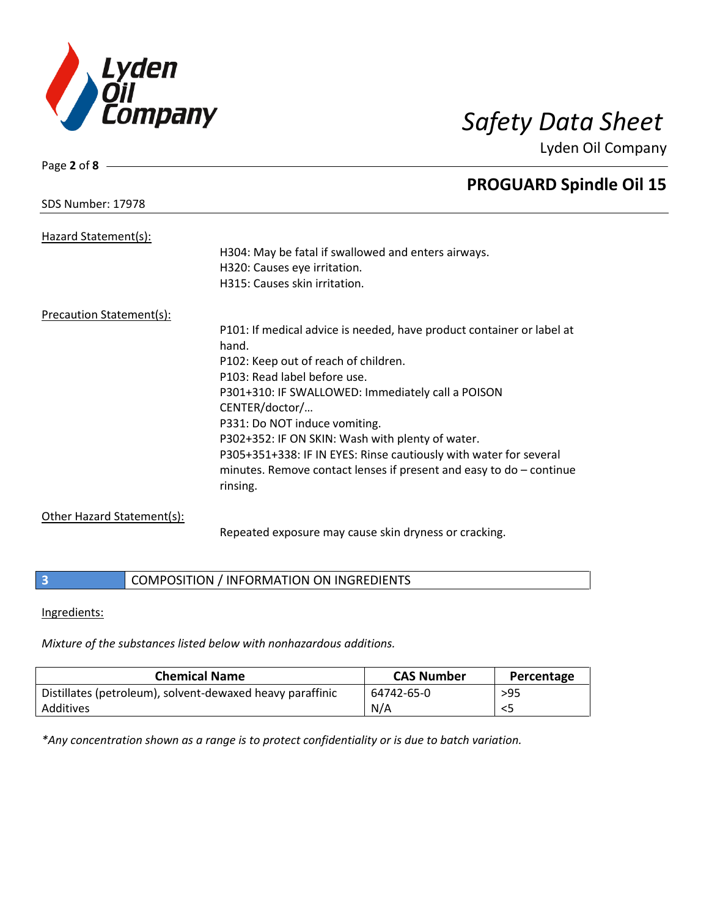

Page **2** of **8**

Lyden Oil Company

|                                 | <b>PROGUARD Spindle Oil 15</b>                                        |
|---------------------------------|-----------------------------------------------------------------------|
| <b>SDS Number: 17978</b>        |                                                                       |
|                                 |                                                                       |
| Hazard Statement(s):            |                                                                       |
|                                 | H304: May be fatal if swallowed and enters airways.                   |
|                                 | H320: Causes eye irritation.                                          |
|                                 | H315: Causes skin irritation.                                         |
| <b>Precaution Statement(s):</b> |                                                                       |
|                                 | P101: If medical advice is needed, have product container or label at |
|                                 | hand.                                                                 |
|                                 | P102: Keep out of reach of children.                                  |
|                                 | P103: Read label before use.                                          |
|                                 | P301+310: IF SWALLOWED: Immediately call a POISON                     |
|                                 | CENTER/doctor/                                                        |
|                                 | P331: Do NOT induce vomiting.                                         |
|                                 | P302+352: IF ON SKIN: Wash with plenty of water.                      |
|                                 |                                                                       |
|                                 | P305+351+338: IF IN EYES: Rinse cautiously with water for several     |
|                                 | minutes. Remove contact lenses if present and easy to $do$ – continue |
|                                 | rinsing.                                                              |
| Other Hazard Statement(s):      |                                                                       |
|                                 |                                                                       |

Repeated exposure may cause skin dryness or cracking.

## **3** COMPOSITION / INFORMATION ON INGREDIENTS

### Ingredients:

*Mixture of the substances listed below with nonhazardous additions.*

| <b>Chemical Name</b>                                      | <b>CAS Number</b> | Percentage |
|-----------------------------------------------------------|-------------------|------------|
| Distillates (petroleum), solvent-dewaxed heavy paraffinic | 64742-65-0        | $>95$      |
| Additives                                                 | N/A               |            |

*\*Any concentration shown as a range is to protect confidentiality or is due to batch variation.*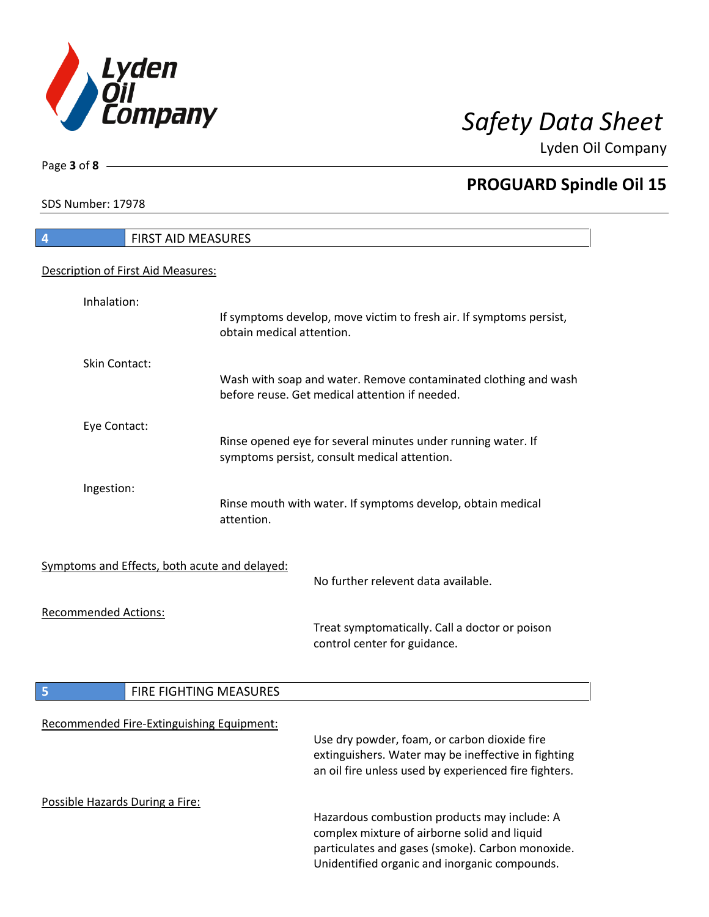

**PROGUARD Spindle Oil 15**

Lyden Oil Company

SDS Number: 17978

Page **3** of **8**

# **4** FIRST AID MEASURES Description of First Aid Measures: Inhalation: If symptoms develop, move victim to fresh air. If symptoms persist, obtain medical attention. Skin Contact: Wash with soap and water. Remove contaminated clothing and wash before reuse. Get medical attention if needed. Eye Contact: Rinse opened eye for several minutes under running water. If symptoms persist, consult medical attention. Ingestion: Rinse mouth with water. If symptoms develop, obtain medical attention. Symptoms and Effects, both acute and delayed: No further relevent data available. Recommended Actions: Treat symptomatically. Call a doctor or poison control center for guidance. **5 FIRE FIGHTING MEASURES** Recommended Fire-Extinguishing Equipment: Use dry powder, foam, or carbon dioxide fire extinguishers. Water may be ineffective in fighting an oil fire unless used by experienced fire fighters. Possible Hazards During a Fire: Hazardous combustion products may include: A complex mixture of airborne solid and liquid particulates and gases (smoke). Carbon monoxide. Unidentified organic and inorganic compounds.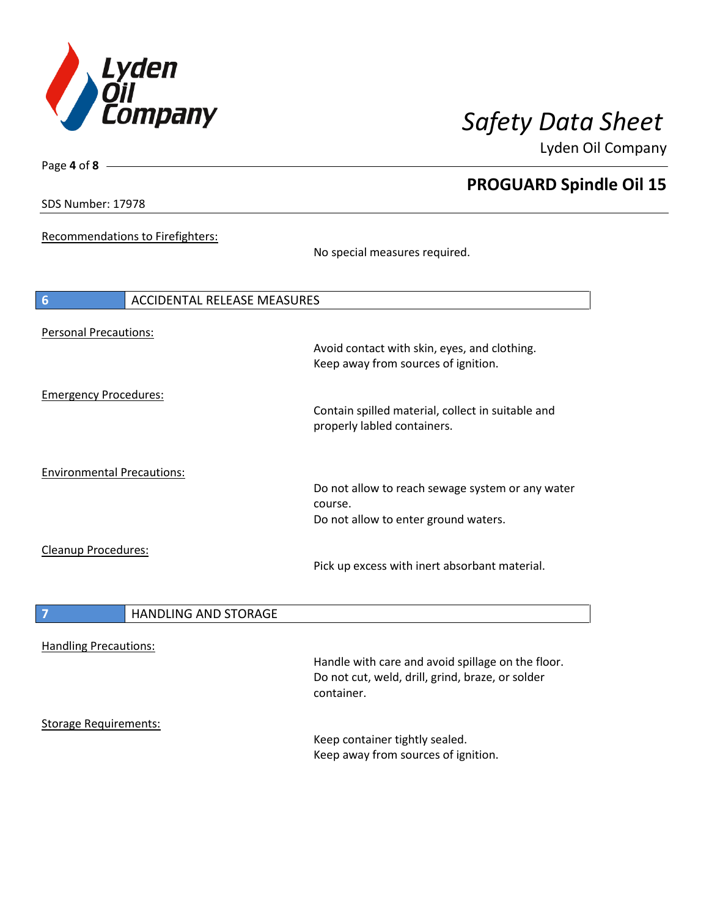

**PROGUARD Spindle Oil 15**

Lyden Oil Company

SDS Number: 17978

Page **4** of **8**

Recommendations to Firefighters:

No special measures required.

| 6                                 | <b>ACCIDENTAL RELEASE MEASURES</b> |                                                                                                     |
|-----------------------------------|------------------------------------|-----------------------------------------------------------------------------------------------------|
| <b>Personal Precautions:</b>      |                                    | Avoid contact with skin, eyes, and clothing.<br>Keep away from sources of ignition.                 |
| <b>Emergency Procedures:</b>      |                                    | Contain spilled material, collect in suitable and<br>properly labled containers.                    |
| <b>Environmental Precautions:</b> |                                    | Do not allow to reach sewage system or any water<br>course.<br>Do not allow to enter ground waters. |
| <b>Cleanup Procedures:</b>        |                                    | Pick up excess with inert absorbant material.                                                       |

| HANDLING AND STORAGE |
|----------------------|
|                      |

Handling Precautions:

Handle with care and avoid spillage on the floor. Do not cut, weld, drill, grind, braze, or solder container.

Storage Requirements:

Keep container tightly sealed. Keep away from sources of ignition.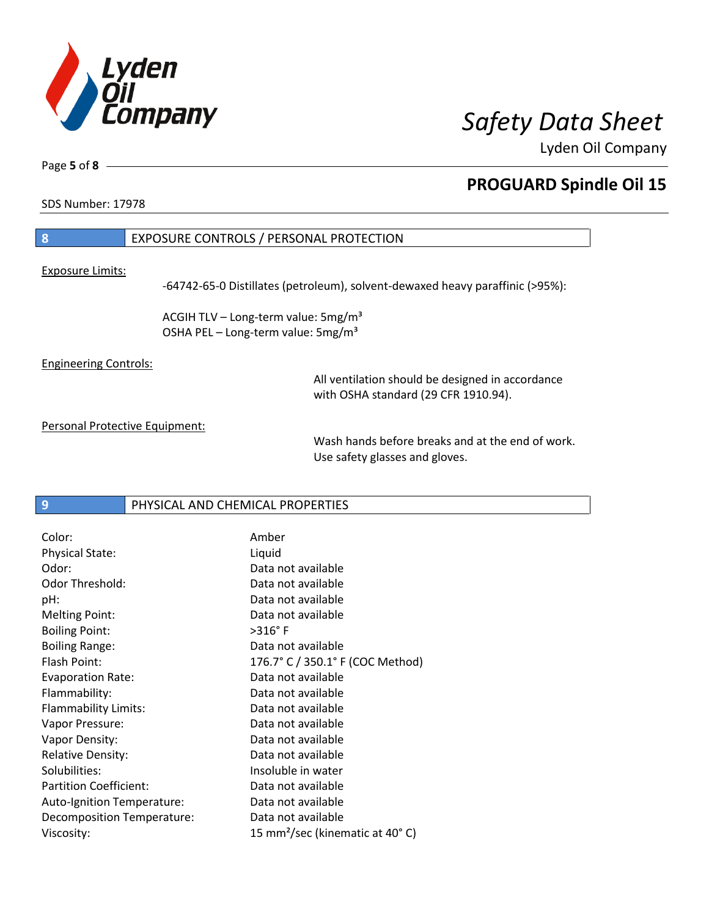

Page **5** of **8**

## **PROGUARD Spindle Oil 15**

SDS Number: 17978

## **8** EXPOSURE CONTROLS / PERSONAL PROTECTION

Exposure Limits:

-64742-65-0 Distillates (petroleum), solvent-dewaxed heavy paraffinic (>95%):

ACGIH TLV – Long-term value:  $5mg/m<sup>3</sup>$ OSHA PEL - Long-term value: 5mg/m<sup>3</sup>

Engineering Controls:

All ventilation should be designed in accordance with OSHA standard (29 CFR 1910.94).

Personal Protective Equipment:

Wash hands before breaks and at the end of work. Use safety glasses and gloves.

**9** PHYSICAL AND CHEMICAL PROPERTIES

| Color:                        | Amber                                       |
|-------------------------------|---------------------------------------------|
| <b>Physical State:</b>        | Liquid                                      |
| Odor:                         | Data not available                          |
| Odor Threshold:               | Data not available                          |
| pH:                           | Data not available                          |
| <b>Melting Point:</b>         | Data not available                          |
| <b>Boiling Point:</b>         | $>316^\circ$ F                              |
| <b>Boiling Range:</b>         | Data not available                          |
| Flash Point:                  | 176.7° C / 350.1° F (COC Method)            |
| <b>Evaporation Rate:</b>      | Data not available                          |
| Flammability:                 | Data not available                          |
| Flammability Limits:          | Data not available                          |
| Vapor Pressure:               | Data not available                          |
| Vapor Density:                | Data not available                          |
| <b>Relative Density:</b>      | Data not available                          |
| Solubilities:                 | Insoluble in water                          |
| <b>Partition Coefficient:</b> | Data not available                          |
| Auto-Ignition Temperature:    | Data not available                          |
| Decomposition Temperature:    | Data not available                          |
| Viscosity:                    | 15 mm <sup>2</sup> /sec (kinematic at 40°C) |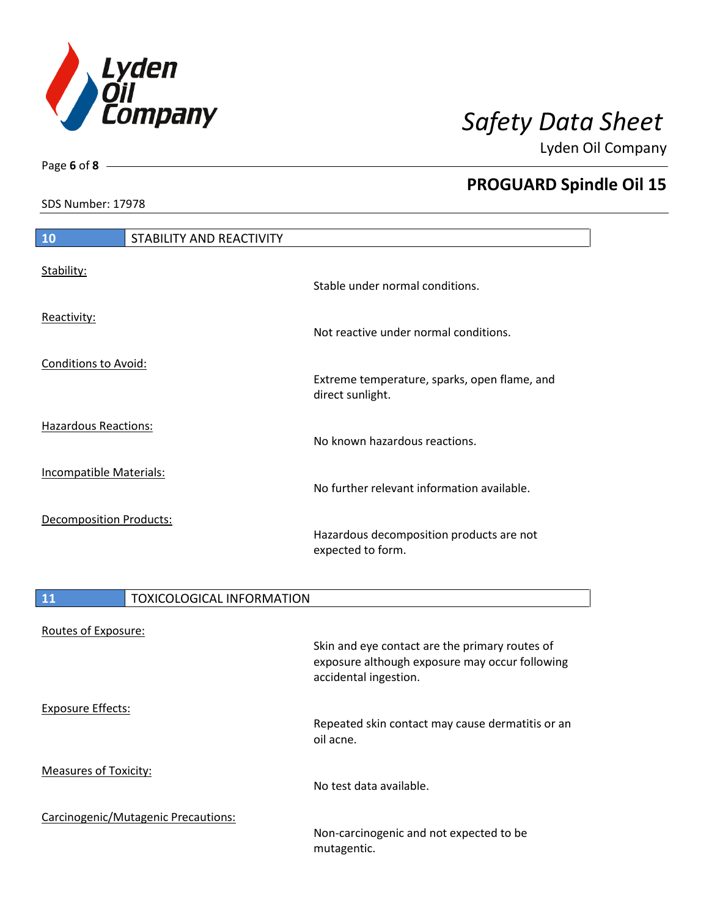

SDS Number: 17978

Page **6** of **8**

|  | <b>PROGUARD Spindle Oil 15</b> |
|--|--------------------------------|
|--|--------------------------------|

| 10                             | STABILITY AND REACTIVITY |                                                                  |
|--------------------------------|--------------------------|------------------------------------------------------------------|
| Stability:                     |                          | Stable under normal conditions.                                  |
| Reactivity:                    |                          | Not reactive under normal conditions.                            |
| <b>Conditions to Avoid:</b>    |                          | Extreme temperature, sparks, open flame, and<br>direct sunlight. |
| Hazardous Reactions:           |                          | No known hazardous reactions.                                    |
| <b>Incompatible Materials:</b> |                          | No further relevant information available.                       |
| Decomposition Products:        |                          | Hazardous decomposition products are not<br>expected to form.    |

| <b>11</b>                    | <b>TOXICOLOGICAL INFORMATION</b>    |                                                                                                                           |
|------------------------------|-------------------------------------|---------------------------------------------------------------------------------------------------------------------------|
| Routes of Exposure:          |                                     | Skin and eye contact are the primary routes of<br>exposure although exposure may occur following<br>accidental ingestion. |
| Exposure Effects:            |                                     | Repeated skin contact may cause dermatitis or an<br>oil acne.                                                             |
| <b>Measures of Toxicity:</b> |                                     | No test data available.                                                                                                   |
|                              | Carcinogenic/Mutagenic Precautions: | Non-carcinogenic and not expected to be<br>mutagentic.                                                                    |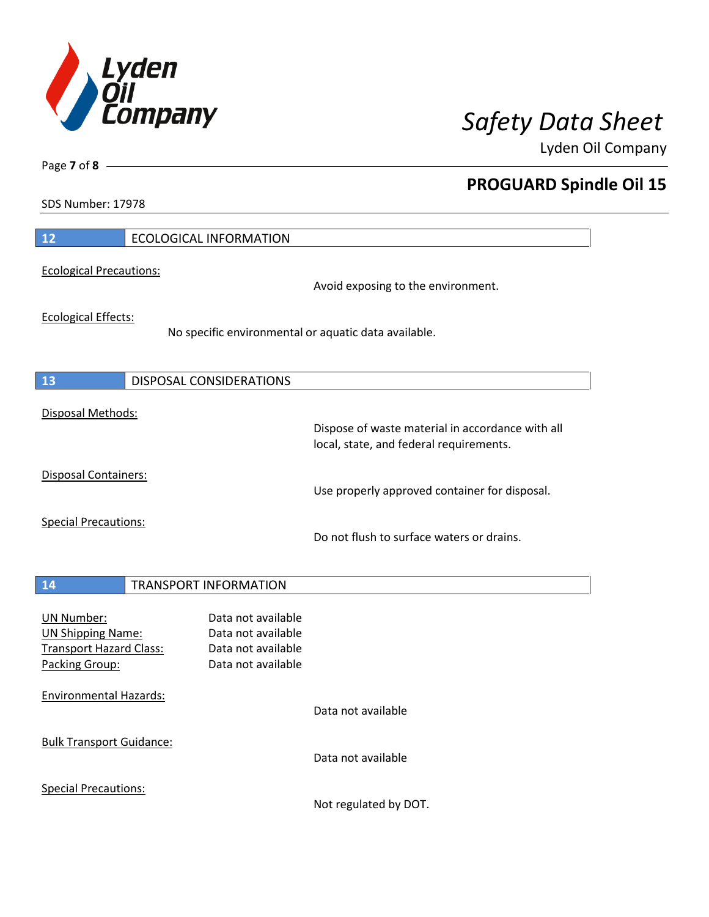

**PROGUARD Spindle Oil 15**

Lyden Oil Company

SDS Number: 17978

Page **7** of **8**

| 12                                                                                                | <b>ECOLOGICAL INFORMATION</b>                                                        |                                                                                             |
|---------------------------------------------------------------------------------------------------|--------------------------------------------------------------------------------------|---------------------------------------------------------------------------------------------|
| <b>Ecological Precautions:</b>                                                                    |                                                                                      | Avoid exposing to the environment.                                                          |
| <b>Ecological Effects:</b>                                                                        | No specific environmental or aquatic data available.                                 |                                                                                             |
| 13                                                                                                | <b>DISPOSAL CONSIDERATIONS</b>                                                       |                                                                                             |
| Disposal Methods:                                                                                 |                                                                                      | Dispose of waste material in accordance with all<br>local, state, and federal requirements. |
| Disposal Containers:                                                                              |                                                                                      | Use properly approved container for disposal.                                               |
| <b>Special Precautions:</b>                                                                       |                                                                                      | Do not flush to surface waters or drains.                                                   |
| 14                                                                                                | <b>TRANSPORT INFORMATION</b>                                                         |                                                                                             |
| <b>UN Number:</b><br><b>UN Shipping Name:</b><br><b>Transport Hazard Class:</b><br>Packing Group: | Data not available<br>Data not available<br>Data not available<br>Data not available |                                                                                             |
| <b>Environmental Hazards:</b>                                                                     |                                                                                      | Data not available                                                                          |
| <b>Bulk Transport Guidance:</b>                                                                   |                                                                                      | Data not available                                                                          |
| <b>Special Precautions:</b>                                                                       |                                                                                      |                                                                                             |

Not regulated by DOT.